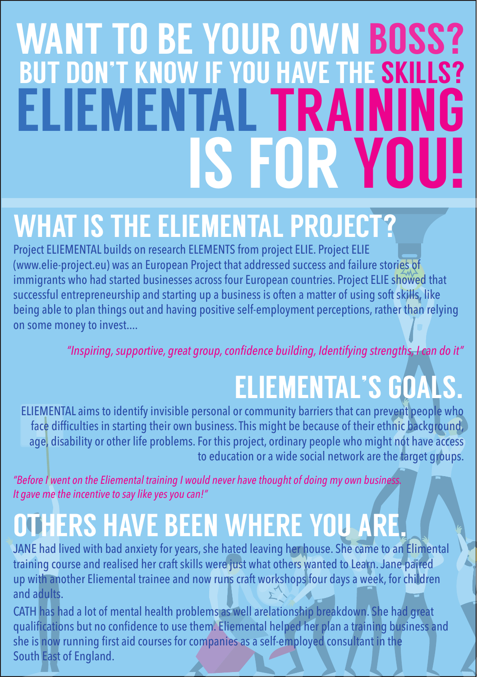# WANT TO BE YOUR OWN BOSS? BUT DON'T KNOW IF YOU HAVE THE SKILLS? ELIEMENTAL TRAINING IS FOR YOU!

## WHAT IS THE ELIEMENTAL PROJECT?

Project ELIEMENTAL builds on research ELEMENTS from project ELIE. Project ELIE (www.elie-project.eu) was an European Project that addressed success and failure stories of immigrants who had started businesses across four European countries. Project ELIE showed that successful entrepreneurship and starting up a business is often a matter of using soft skills, like being able to plan things out and having positive self-employment perceptions, rather than relying on some money to invest....

*"Inspiring, supportive, great group, confidence building, Identifying strengths, I can do it"*

## ELIEMENTAL'S GOALS.

ELIEMENTAL aims to identify invisible personal or community barriers that can prevent people who face difficulties in starting their own business. This might be because of their ethnic background, age, disability or other life problems. For this project, ordinary people who might not have access to education or a wide social network are the target groups.

*"Before I went on the Eliemental training I would never have thought of doing my own business. It gave me the incentive to say like yes you can!"*

### OTHERS HAVE BEEN WHERE YOU ARE.

JANE had lived with bad anxiety for years, she hated leaving her house. She came to an Elimental training course and realised her craft skills were just what others wanted to Learn. Jane paired up with another Eliemental trainee and now runs craft workshops four days a week, for children and adults.

CATH has had a lot of mental health problems as well arelationship breakdown. She had great qualifications but no confidence to use them. Eliemental helped her plan a training business and she is now running first aid courses for companies as a self-employed consultant in the South East of England.